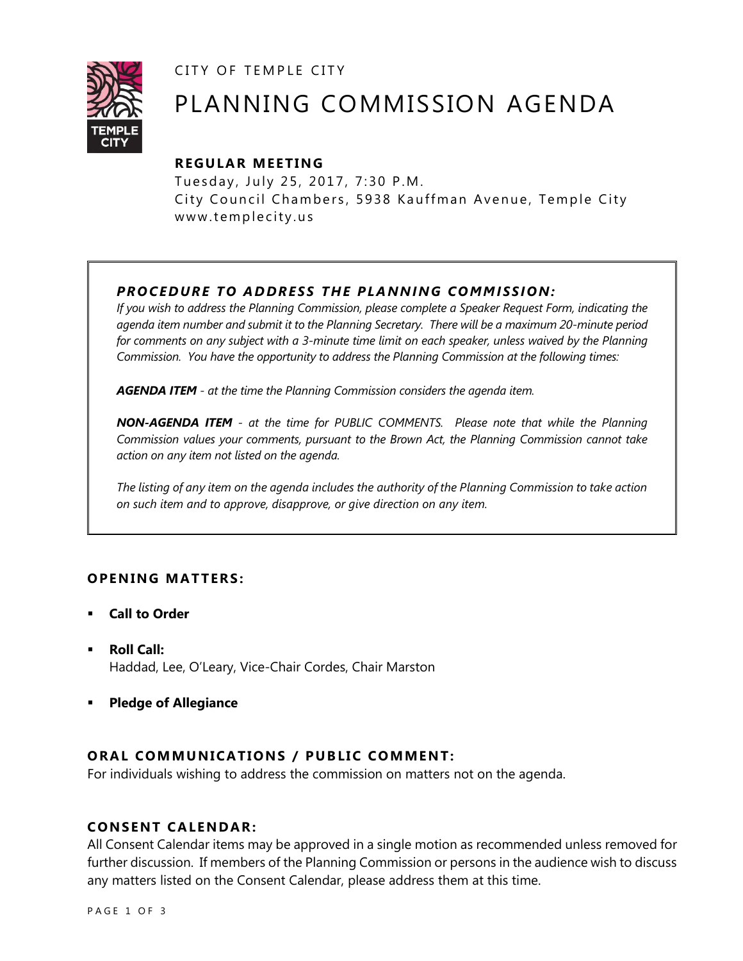CITY OF TEMPLE CITY



# PLANNING COMMISSION AGENDA

# **R EGULA R MEE TING**

Tuesday, July 25, 2017, 7:30 P.M. City Council Chambers, 5938 Kauffman Avenue, Temple City www.templecity.us

# *PRO CE DURE TO ADDRE SS THE P LA NNI NG COMM I SSION:*

*If you wish to address the Planning Commission, please complete a Speaker Request Form, indicating the agenda item number and submit it to the Planning Secretary. There will be a maximum 20-minute period*  for comments on any subject with a 3-minute time limit on each speaker, unless waived by the Planning *Commission. You have the opportunity to address the Planning Commission at the following times:*

*AGENDA ITEM - at the time the Planning Commission considers the agenda item.*

*NON-AGENDA ITEM - at the time for PUBLIC COMMENTS. Please note that while the Planning Commission values your comments, pursuant to the Brown Act, the Planning Commission cannot take action on any item not listed on the agenda.*

*The listing of any item on the agenda includes the authority of the Planning Commission to take action on such item and to approve, disapprove, or give direction on any item.*

# **OPENING MATTERS:**

- **Call to Order**
- **Roll Call:** Haddad, Lee, O'Leary, Vice-Chair Cordes, Chair Marston
- **Pledge of Allegiance**

# **ORAL COMMUNICATIONS / PUBLIC COMMENT:**

For individuals wishing to address the commission on matters not on the agenda.

## **CONSENT CA LENDAR:**

All Consent Calendar items may be approved in a single motion as recommended unless removed for further discussion. If members of the Planning Commission or persons in the audience wish to discuss any matters listed on the Consent Calendar, please address them at this time.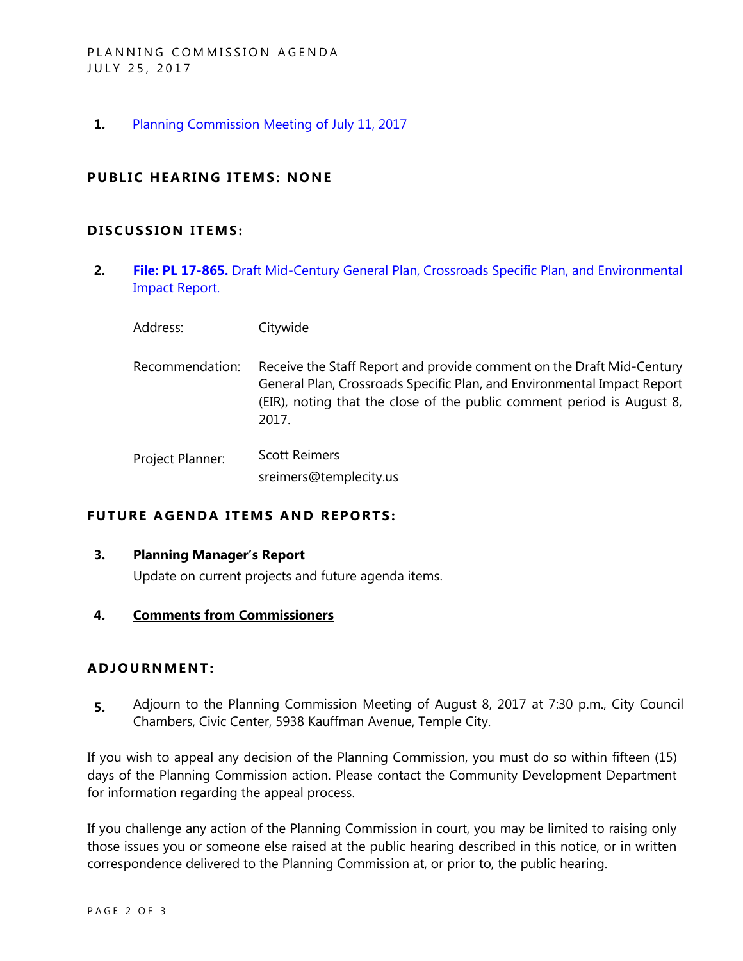**1.** [Planning Commission Meeting of July 11, 2017](https://ca-templecity.civicplus.com/DocumentCenter/View/8806)

## **PUBLIC HEARING ITEMS: NONE**

### **D ISCUSSION ITEMS:**

**2. File: PL 17-865.** [Draft Mid-Century General Plan, Crossroads Specific Plan, and Environmental](https://ca-templecity.civicplus.com/DocumentCenter/View/8807)  [Impact Report.](https://ca-templecity.civicplus.com/DocumentCenter/View/8807) 

Address: Citywide

Recommendation: Receive the Staff Report and provide comment on the Draft Mid-Century General Plan, Crossroads Specific Plan, and Environmental Impact Report (EIR), noting that the close of the public comment period is August 8, 2017.

Project Planner: Scott Reimers sreimers@templecity.us

## **FUTURE AGENDA ITEMS AND REPORTS:**

#### **3. Planning Manager's Report**

Update on current projects and future agenda items.

#### **4. Comments from Commissioners**

### **ADJOU RNMENT:**

**5.** Adjourn to the Planning Commission Meeting of August 8, 2017 at 7:30 p.m., City Council Chambers, Civic Center, 5938 Kauffman Avenue, Temple City.

If you wish to appeal any decision of the Planning Commission, you must do so within fifteen (15) days of the Planning Commission action. Please contact the Community Development Department for information regarding the appeal process.

If you challenge any action of the Planning Commission in court, you may be limited to raising only those issues you or someone else raised at the public hearing described in this notice, or in written correspondence delivered to the Planning Commission at, or prior to, the public hearing.